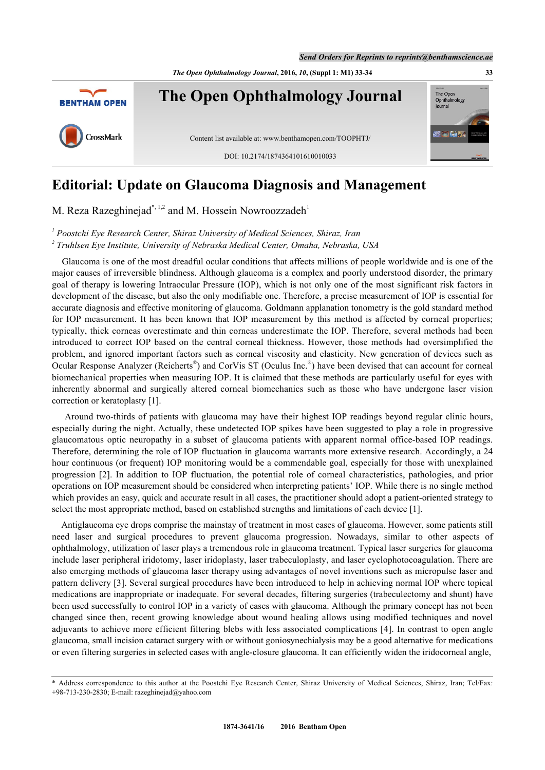*The Open Ophthalmology Journal***, 2016,** *10***, (Suppl 1: M1) 33-34 33**



## **Editorial: Update on Glaucoma Diagnosis and Management**

M. Reza Razeghinejad\*<sup>, [1,](#page-0-1)[2](#page-0-2)</sup> and M. Hossein Nowroozzadeh<sup>[1](#page-0-2)</sup>

<span id="page-0-2"></span><span id="page-0-1"></span><sup>1</sup> Poostchi Eye Research Center, Shiraz University of Medical Sciences, Shiraz, Iran *2 Truhlsen Eye Institute, University of Nebraska Medical Center, Omaha, Nebraska, USA*

 Glaucoma is one of the most dreadful ocular conditions that affects millions of people worldwide and is one of the major causes of irreversible blindness. Although glaucoma is a complex and poorly understood disorder, the primary goal of therapy is lowering Intraocular Pressure (IOP), which is not only one of the most significant risk factors in development of the disease, but also the only modifiable one. Therefore, a precise measurement of IOP is essential for accurate diagnosis and effective monitoring of glaucoma. Goldmann applanation tonometry is the gold standard method for IOP measurement. It has been known that IOP measurement by this method is affected by corneal properties; typically, thick corneas overestimate and thin corneas underestimate the IOP. Therefore, several methods had been introduced to correct IOP based on the central corneal thickness. However, those methods had oversimplified the problem, and ignored important factors such as corneal viscosity and elasticity. New generation of devices such as Ocular Response Analyzer (Reicherts<sup>®</sup>) and CorVis ST (Oculus Inc.<sup>®</sup>) have been devised that can account for corneal biomechanical properties when measuring IOP. It is claimed that these methods are particularly useful for eyes with inherently abnormal and surgically altered corneal biomechanics such as those who have undergone laser vision correction or keratoplasty [\[1](#page-1-0)].

 Around two-thirds of patients with glaucoma may have their highest IOP readings beyond regular clinic hours, especially during the night. Actually, these undetected IOP spikes have been suggested to play a role in progressive glaucomatous optic neuropathy in a subset of glaucoma patients with apparent normal office-based IOP readings. Therefore, determining the role of IOP fluctuation in glaucoma warrants more extensive research. Accordingly, a 24 hour continuous (or frequent) IOP monitoring would be a commendable goal, especially for those with unexplained progression [[2\]](#page-1-1). In addition to IOP fluctuation, the potential role of corneal characteristics, pathologies, and prior operations on IOP measurement should be considered when interpreting patients' IOP. While there is no single method which provides an easy, quick and accurate result in all cases, the practitioner should adopt a patient-oriented strategy to select the most appropriate method, based on established strengths and limitations of each device [[1\]](#page-1-0).

 Antiglaucoma eye drops comprise the mainstay of treatment in most cases of glaucoma. However, some patients still need laser and surgical procedures to prevent glaucoma progression. Nowadays, similar to other aspects of ophthalmology, utilization of laser plays a tremendous role in glaucoma treatment. Typical laser surgeries for glaucoma include laser peripheral iridotomy, laser iridoplasty, laser trabeculoplasty, and laser cyclophotocoagulation. There are also emerging methods of glaucoma laser therapy using advantages of novel inventions such as micropulse laser and pattern delivery [[3\]](#page-1-2). Several surgical procedures have been introduced to help in achieving normal IOP where topical medications are inappropriate or inadequate. For several decades, filtering surgeries (trabeculectomy and shunt) have been used successfully to control IOP in a variety of cases with glaucoma. Although the primary concept has not been changed since then, recent growing knowledge about wound healing allows using modified techniques and novel adjuvants to achieve more efficient filtering blebs with less associated complications [\[4](#page-1-3)]. In contrast to open angle glaucoma, small incision cataract surgery with or without goniosynechialysis may be a good alternative for medications or even filtering surgeries in selected cases with angle-closure glaucoma. It can efficiently widen the iridocorneal angle,

<span id="page-0-0"></span><sup>\*</sup> Address correspondence to this author at the Poostchi Eye Research Center, Shiraz University of Medical Sciences, Shiraz, Iran; Tel/Fax: +98-713-230-2830; E-mail: [razeghinejad@yahoo.com](mailto:razeghinejad@yahoo.com)